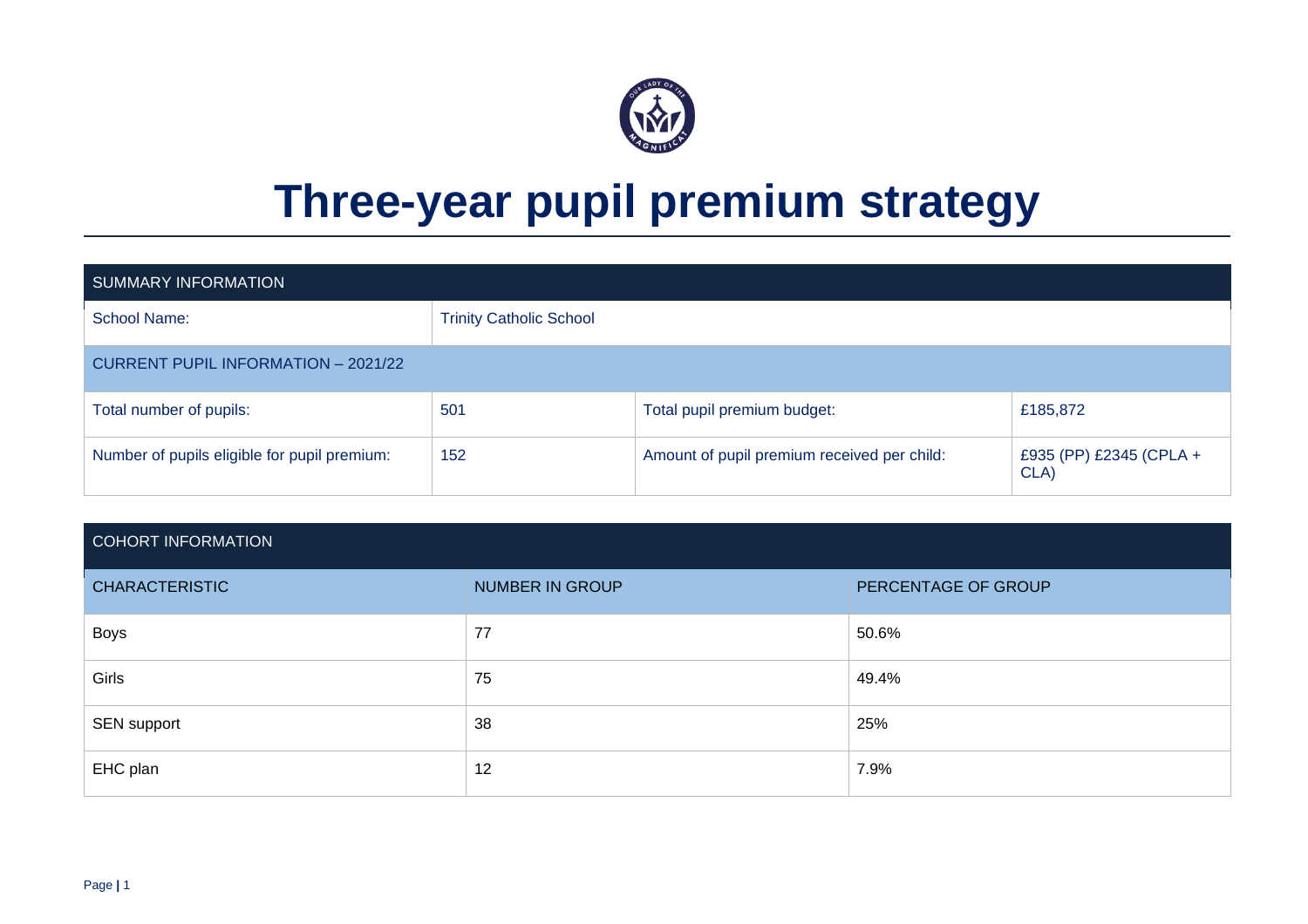

# **Three-year pupil premium strategy**

| <b>SUMMARY INFORMATION</b>                   |                                |                                             |                                 |
|----------------------------------------------|--------------------------------|---------------------------------------------|---------------------------------|
| School Name:                                 | <b>Trinity Catholic School</b> |                                             |                                 |
| <b>CURRENT PUPIL INFORMATION - 2021/22</b>   |                                |                                             |                                 |
| Total number of pupils:                      | 501                            | Total pupil premium budget:                 | £185,872                        |
| Number of pupils eligible for pupil premium: | 152                            | Amount of pupil premium received per child: | £935 (PP) £2345 (CPLA +<br>CLA) |

#### COHORT INFORMATION

| <b>CHARACTERISTIC</b> | <b>NUMBER IN GROUP</b> | PERCENTAGE OF GROUP |
|-----------------------|------------------------|---------------------|
| <b>Boys</b>           | 77                     | 50.6%               |
| Girls                 | 75                     | 49.4%               |
| SEN support           | 38                     | 25%                 |
| EHC plan              | 12                     | 7.9%                |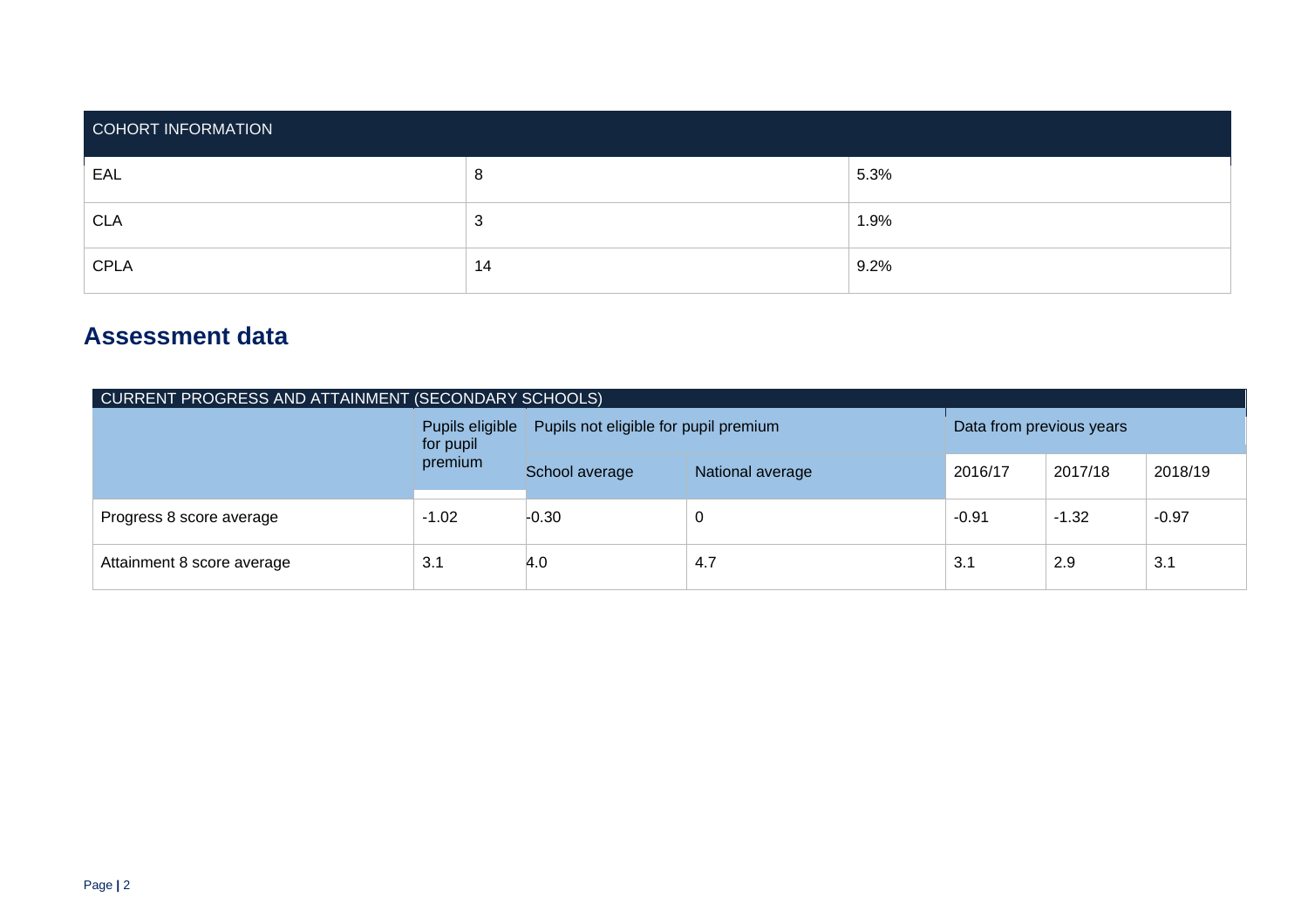| COHORT INFORMATION |               |      |  |  |  |  |
|--------------------|---------------|------|--|--|--|--|
| EAL                | 8             | 5.3% |  |  |  |  |
| <b>CLA</b>         | о<br><b>N</b> | 1.9% |  |  |  |  |
| <b>CPLA</b>        | 14            | 9.2% |  |  |  |  |

# **Assessment data**

| CURRENT PROGRESS AND ATTAINMENT (SECONDARY SCHOOLS) |                              |                                       |                          |         |         |         |  |  |
|-----------------------------------------------------|------------------------------|---------------------------------------|--------------------------|---------|---------|---------|--|--|
|                                                     | Pupils eligible<br>for pupil | Pupils not eligible for pupil premium | Data from previous years |         |         |         |  |  |
|                                                     | premium                      | School average                        | National average         | 2016/17 | 2017/18 | 2018/19 |  |  |
| Progress 8 score average                            | $-1.02$                      | $-0.30$                               |                          | $-0.91$ | $-1.32$ | $-0.97$ |  |  |
| Attainment 8 score average                          | 3.1                          | 4.0                                   | 3.1<br>4.7<br>2.9<br>3.1 |         |         |         |  |  |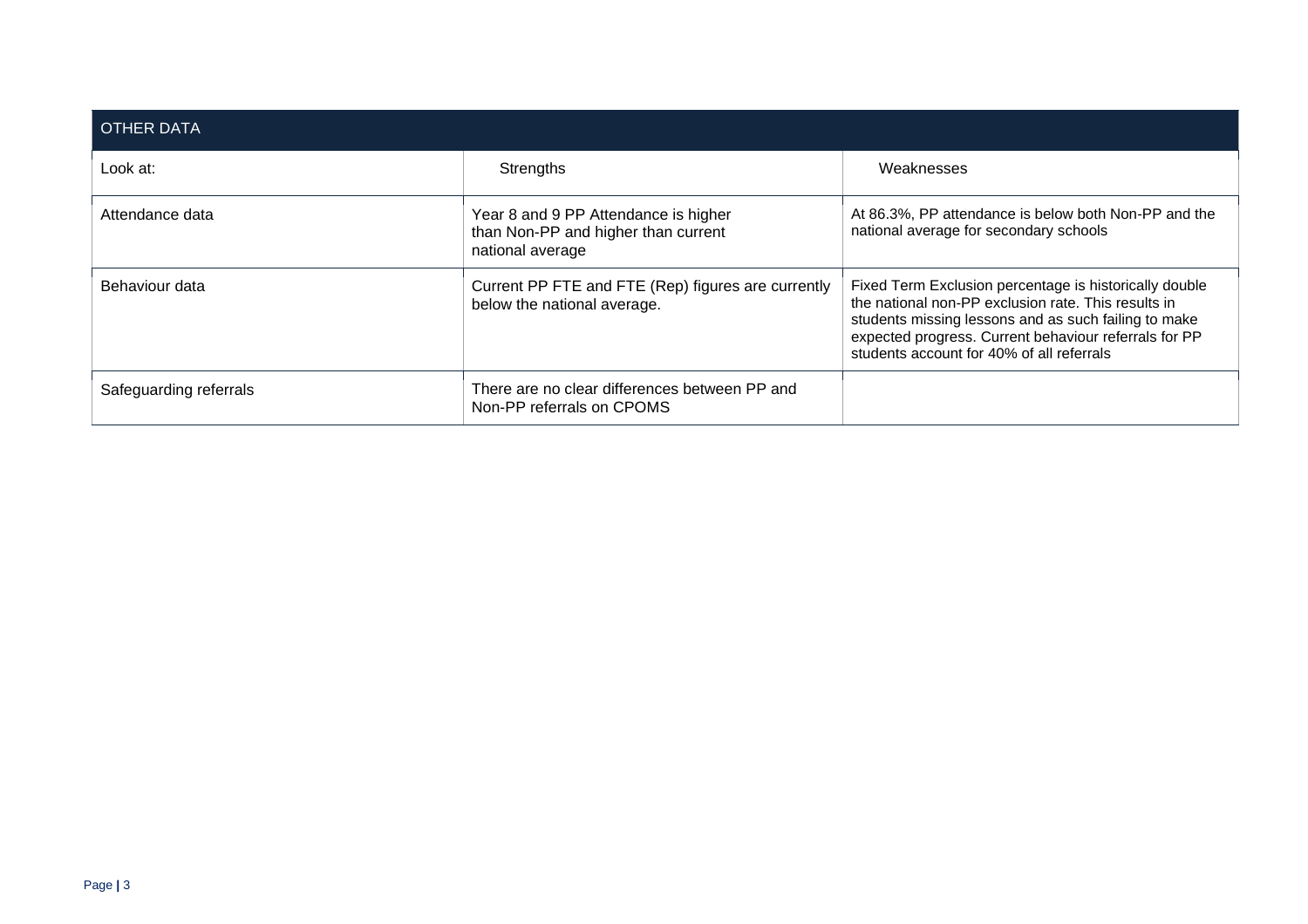| <b>OTHER DATA</b>      |                                                                                                 |                                                                                                                                                                                                                                                                             |
|------------------------|-------------------------------------------------------------------------------------------------|-----------------------------------------------------------------------------------------------------------------------------------------------------------------------------------------------------------------------------------------------------------------------------|
| Look at:               | Strengths                                                                                       | Weaknesses                                                                                                                                                                                                                                                                  |
| Attendance data        | Year 8 and 9 PP Attendance is higher<br>than Non-PP and higher than current<br>national average | At 86.3%, PP attendance is below both Non-PP and the<br>national average for secondary schools                                                                                                                                                                              |
| Behaviour data         | Current PP FTE and FTE (Rep) figures are currently<br>below the national average.               | Fixed Term Exclusion percentage is historically double<br>the national non-PP exclusion rate. This results in<br>students missing lessons and as such failing to make<br>expected progress. Current behaviour referrals for PP<br>students account for 40% of all referrals |
| Safeguarding referrals | There are no clear differences between PP and<br>Non-PP referrals on CPOMS                      |                                                                                                                                                                                                                                                                             |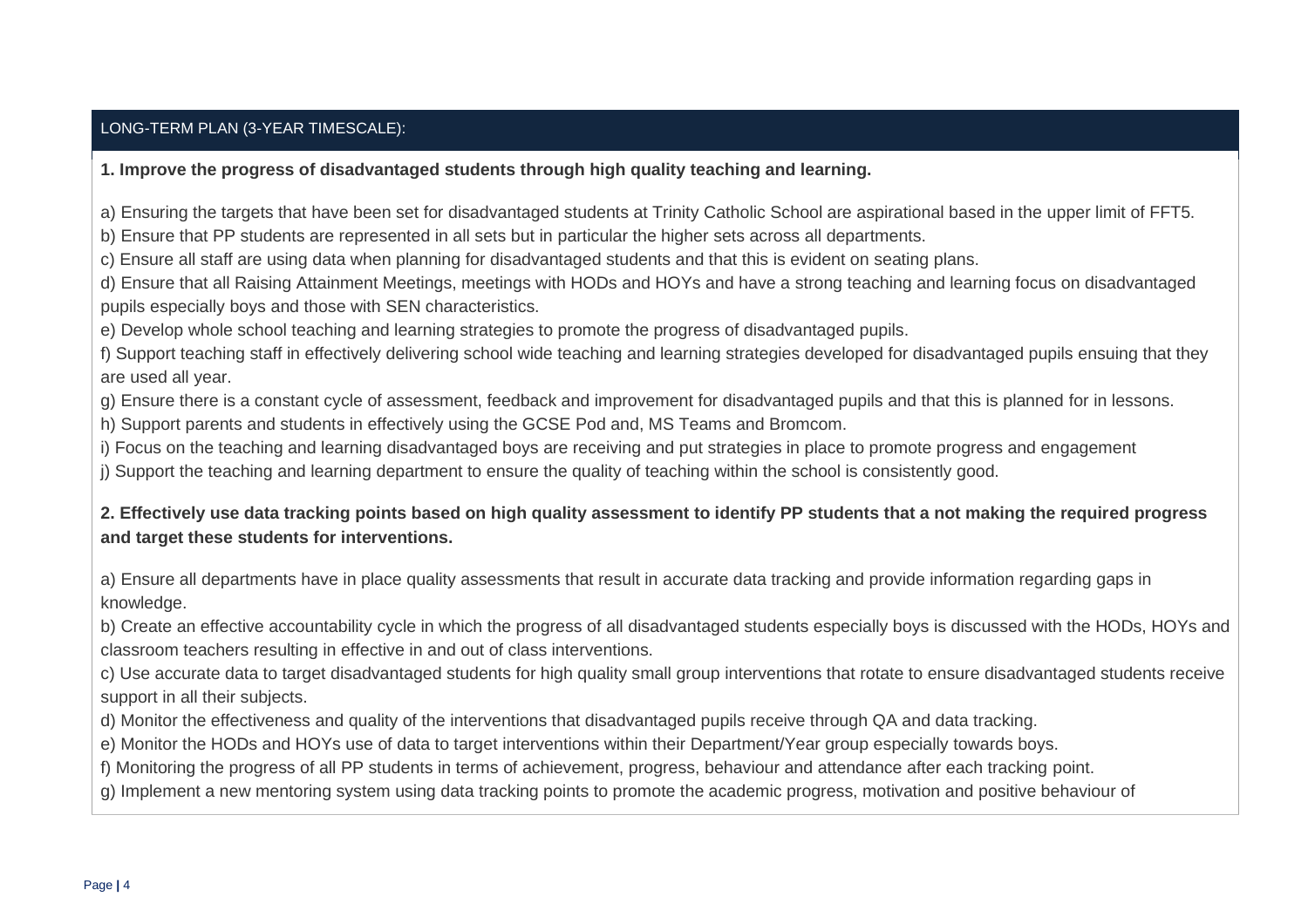#### LONG-TERM PLAN (3-YEAR TIMESCALE):

#### **1. Improve the progress of disadvantaged students through high quality teaching and learning.**

a) Ensuring the targets that have been set for disadvantaged students at Trinity Catholic School are aspirational based in the upper limit of FFT5.

b) Ensure that PP students are represented in all sets but in particular the higher sets across all departments.

c) Ensure all staff are using data when planning for disadvantaged students and that this is evident on seating plans.

d) Ensure that all Raising Attainment Meetings, meetings with HODs and HOYs and have a strong teaching and learning focus on disadvantaged pupils especially boys and those with SEN characteristics.

e) Develop whole school teaching and learning strategies to promote the progress of disadvantaged pupils.

f) Support teaching staff in effectively delivering school wide teaching and learning strategies developed for disadvantaged pupils ensuing that they are used all year.

g) Ensure there is a constant cycle of assessment, feedback and improvement for disadvantaged pupils and that this is planned for in lessons.

h) Support parents and students in effectively using the GCSE Pod and, MS Teams and Bromcom.

i) Focus on the teaching and learning disadvantaged boys are receiving and put strategies in place to promote progress and engagement

j) Support the teaching and learning department to ensure the quality of teaching within the school is consistently good.

#### **2. Effectively use data tracking points based on high quality assessment to identify PP students that a not making the required progress and target these students for interventions.**

a) Ensure all departments have in place quality assessments that result in accurate data tracking and provide information regarding gaps in knowledge.

b) Create an effective accountability cycle in which the progress of all disadvantaged students especially boys is discussed with the HODs, HOYs and classroom teachers resulting in effective in and out of class interventions.

c) Use accurate data to target disadvantaged students for high quality small group interventions that rotate to ensure disadvantaged students receive support in all their subjects.

d) Monitor the effectiveness and quality of the interventions that disadvantaged pupils receive through QA and data tracking.

e) Monitor the HODs and HOYs use of data to target interventions within their Department/Year group especially towards boys.

f) Monitoring the progress of all PP students in terms of achievement, progress, behaviour and attendance after each tracking point.

g) Implement a new mentoring system using data tracking points to promote the academic progress, motivation and positive behaviour of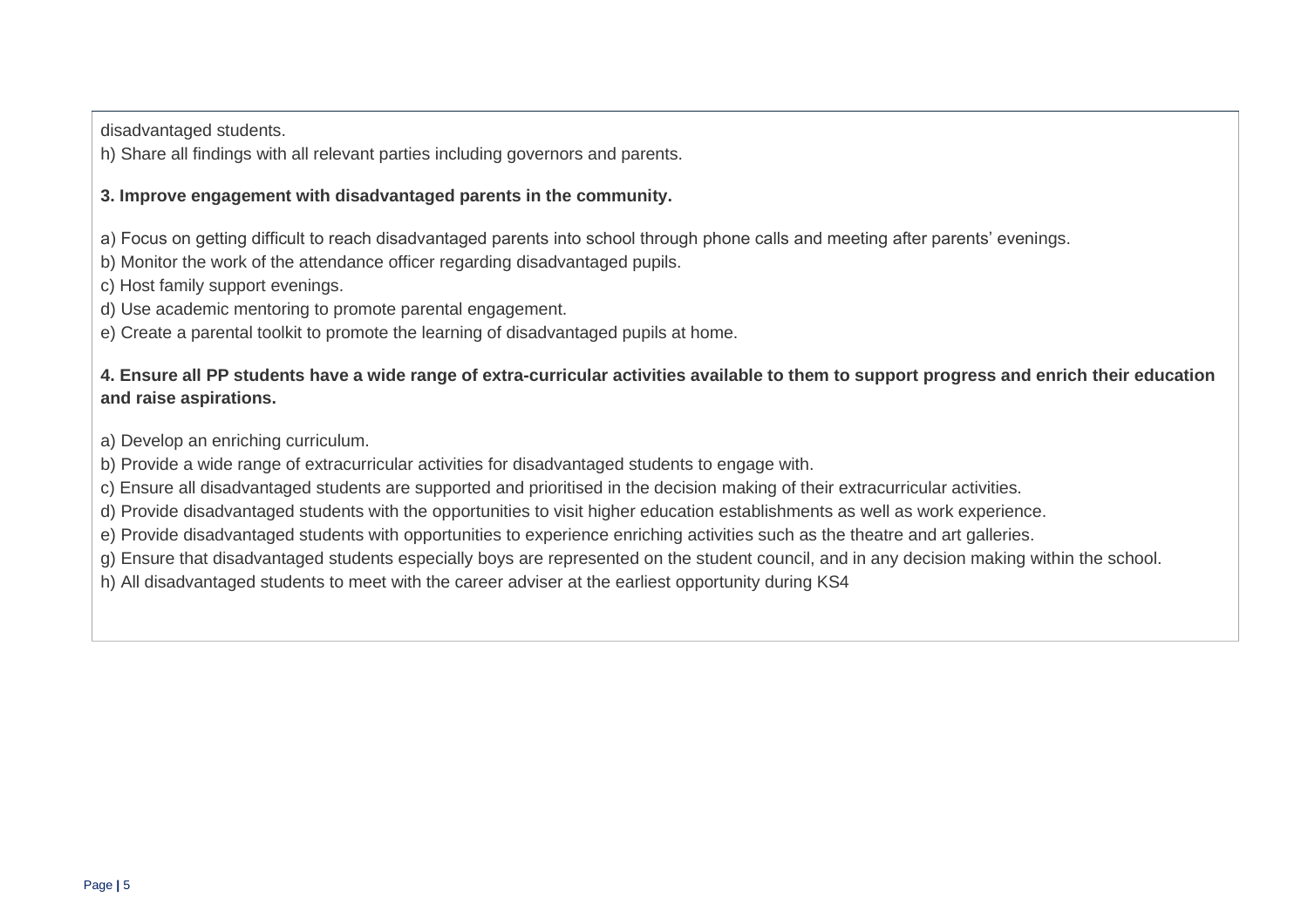disadvantaged students.

h) Share all findings with all relevant parties including governors and parents.

#### **3. Improve engagement with disadvantaged parents in the community.**

a) Focus on getting difficult to reach disadvantaged parents into school through phone calls and meeting after parents' evenings.

b) Monitor the work of the attendance officer regarding disadvantaged pupils.

c) Host family support evenings.

d) Use academic mentoring to promote parental engagement.

e) Create a parental toolkit to promote the learning of disadvantaged pupils at home.

#### **4. Ensure all PP students have a wide range of extra-curricular activities available to them to support progress and enrich their education and raise aspirations.**

a) Develop an enriching curriculum.

b) Provide a wide range of extracurricular activities for disadvantaged students to engage with.

c) Ensure all disadvantaged students are supported and prioritised in the decision making of their extracurricular activities.

d) Provide disadvantaged students with the opportunities to visit higher education establishments as well as work experience.

e) Provide disadvantaged students with opportunities to experience enriching activities such as the theatre and art galleries.

g) Ensure that disadvantaged students especially boys are represented on the student council, and in any decision making within the school.

h) All disadvantaged students to meet with the career adviser at the earliest opportunity during KS4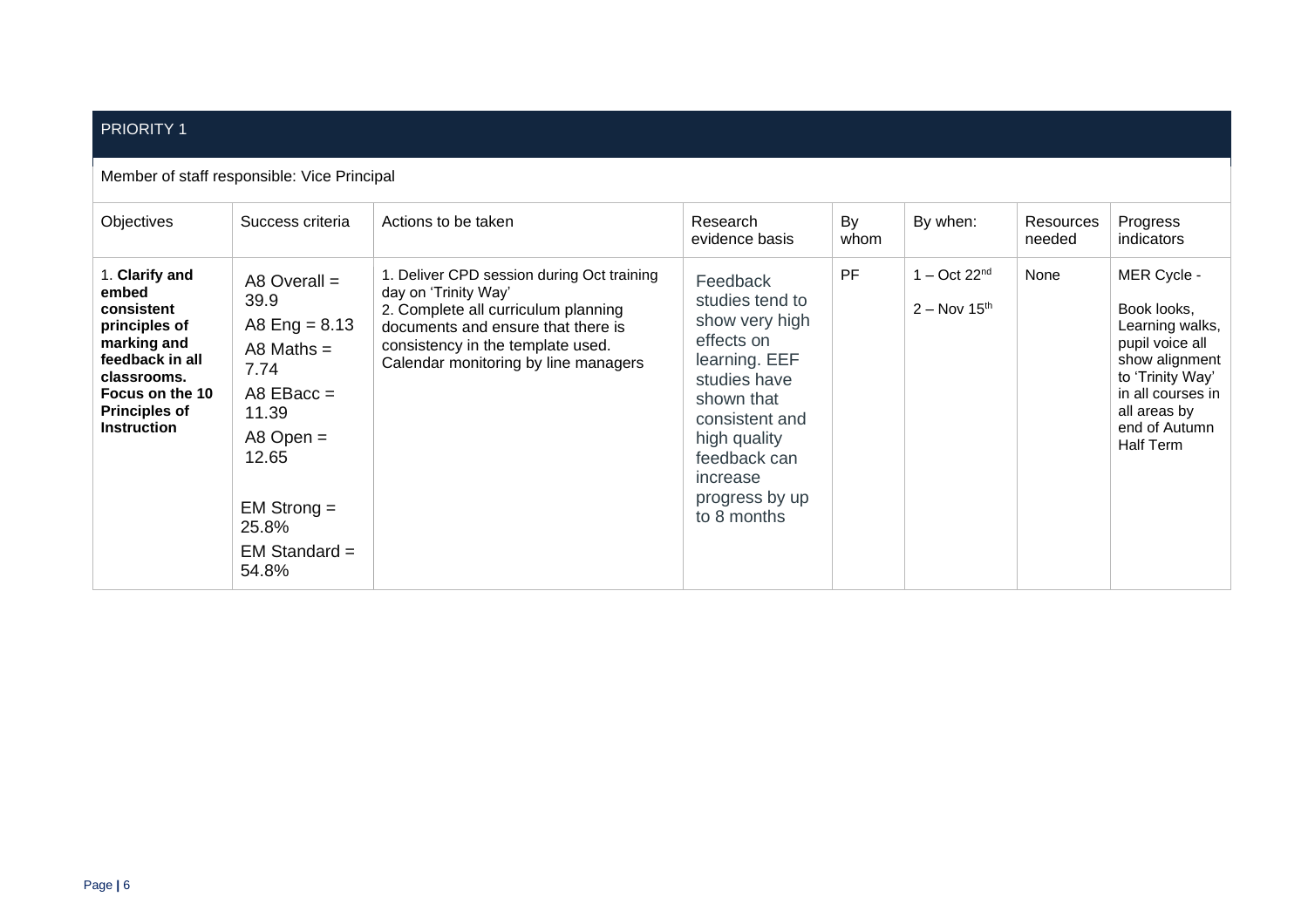#### PRIORITY 1

#### Member of staff responsible: Vice Principal

| Objectives                                                                                                                                                               | Success criteria                                                                                                                                                           | Actions to be taken                                                                                                                                                                                                          | Research<br>evidence basis                                                                                                                                                                                | By<br>whom | By when:                         | Resources<br>needed | Progress<br>indicators                                                                                                                                                    |
|--------------------------------------------------------------------------------------------------------------------------------------------------------------------------|----------------------------------------------------------------------------------------------------------------------------------------------------------------------------|------------------------------------------------------------------------------------------------------------------------------------------------------------------------------------------------------------------------------|-----------------------------------------------------------------------------------------------------------------------------------------------------------------------------------------------------------|------------|----------------------------------|---------------------|---------------------------------------------------------------------------------------------------------------------------------------------------------------------------|
| 1. Clarify and<br>embed<br>consistent<br>principles of<br>marking and<br>feedback in all<br>classrooms.<br>Focus on the 10<br><b>Principles of</b><br><b>Instruction</b> | A8 Overall $=$<br>39.9<br>A8 Eng = $8.13$<br>A8 Maths $=$<br>7.74<br>A8 $EBacc =$<br>11.39<br>A8 Open $=$<br>12.65<br>$EM$ Strong $=$<br>25.8%<br>$EM Standard =$<br>54.8% | 1. Deliver CPD session during Oct training<br>day on 'Trinity Way'<br>2. Complete all curriculum planning<br>documents and ensure that there is<br>consistency in the template used.<br>Calendar monitoring by line managers | Feedback<br>studies tend to<br>show very high<br>effects on<br>learning. EEF<br>studies have<br>shown that<br>consistent and<br>high quality<br>feedback can<br>increase<br>progress by up<br>to 8 months | PF         | $1 - Oct 22nd$<br>$2 - Nov 15th$ | None                | MER Cycle -<br>Book looks,<br>Learning walks,<br>pupil voice all<br>show alignment<br>to 'Trinity Way'<br>in all courses in<br>all areas by<br>end of Autumn<br>Half Term |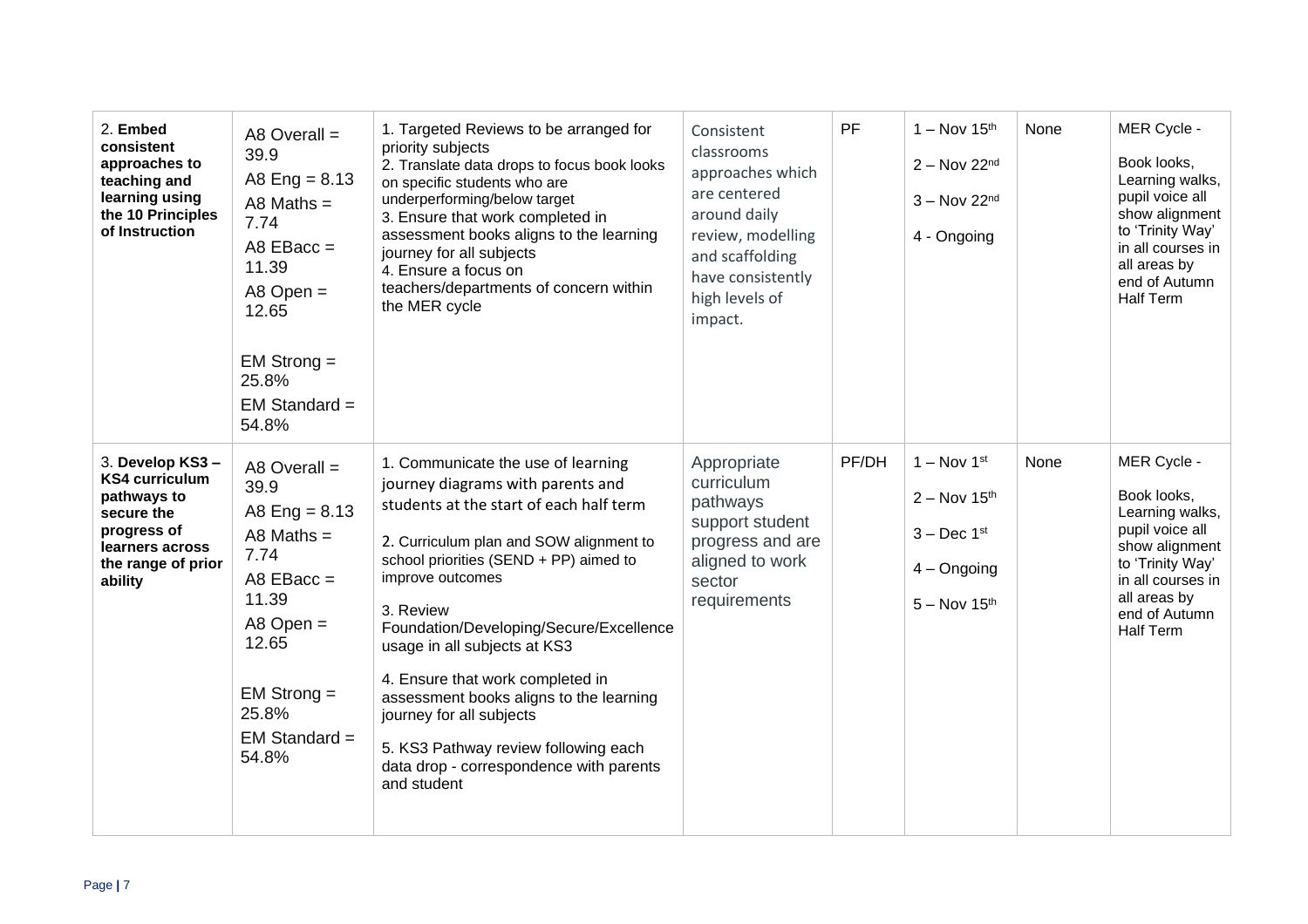| 2. Embed<br>consistent<br>approaches to<br>teaching and<br>learning using<br>the 10 Principles<br>of Instruction                         | A8 Overall $=$<br>39.9<br>A8 Eng = $8.13$<br>A8 Maths $=$<br>7.74<br>$AB$ EBacc =<br>11.39<br>$AB$ Open =<br>12.65<br>$EM$ Strong $=$<br>25.8%<br>$EM Standard =$<br>54.8% | 1. Targeted Reviews to be arranged for<br>priority subjects<br>2. Translate data drops to focus book looks<br>on specific students who are<br>underperforming/below target<br>3. Ensure that work completed in<br>assessment books aligns to the learning<br>journey for all subjects<br>4. Ensure a focus on<br>teachers/departments of concern within<br>the MER cycle                                                                                                                                                         | Consistent<br>classrooms<br>approaches which<br>are centered<br>around daily<br>review, modelling<br>and scaffolding<br>have consistently<br>high levels of<br>impact. | PF    | $1 - Nov 15th$<br>$2 - Nov 22nd$<br>$3 - Nov 22nd$<br>4 - Ongoing                   | None | MER Cycle -<br>Book looks,<br>Learning walks,<br>pupil voice all<br>show alignment<br>to 'Trinity Way'<br>in all courses in<br>all areas by<br>end of Autumn<br><b>Half Term</b> |
|------------------------------------------------------------------------------------------------------------------------------------------|----------------------------------------------------------------------------------------------------------------------------------------------------------------------------|----------------------------------------------------------------------------------------------------------------------------------------------------------------------------------------------------------------------------------------------------------------------------------------------------------------------------------------------------------------------------------------------------------------------------------------------------------------------------------------------------------------------------------|------------------------------------------------------------------------------------------------------------------------------------------------------------------------|-------|-------------------------------------------------------------------------------------|------|----------------------------------------------------------------------------------------------------------------------------------------------------------------------------------|
| 3. Develop KS3-<br><b>KS4 curriculum</b><br>pathways to<br>secure the<br>progress of<br>learners across<br>the range of prior<br>ability | A8 Overall $=$<br>39.9<br>A8 Eng = $8.13$<br>A8 Maths $=$<br>7.74<br>A8 $EBacc =$<br>11.39<br>$A8$ Open =<br>12.65<br>$EM$ Strong $=$<br>25.8%<br>$EM Standard =$<br>54.8% | 1. Communicate the use of learning<br>journey diagrams with parents and<br>students at the start of each half term<br>2. Curriculum plan and SOW alignment to<br>school priorities (SEND + PP) aimed to<br>improve outcomes<br>3. Review<br>Foundation/Developing/Secure/Excellence<br>usage in all subjects at KS3<br>4. Ensure that work completed in<br>assessment books aligns to the learning<br>journey for all subjects<br>5. KS3 Pathway review following each<br>data drop - correspondence with parents<br>and student | Appropriate<br>curriculum<br>pathways<br>support student<br>progress and are<br>aligned to work<br>sector<br>requirements                                              | PF/DH | $1 - Nov 1st$<br>$2 - Nov 15th$<br>$3 - Dec 1st$<br>$4 -$ Ongoing<br>$5 - Nov 15th$ | None | MER Cycle -<br>Book looks,<br>Learning walks,<br>pupil voice all<br>show alignment<br>to 'Trinity Way'<br>in all courses in<br>all areas by<br>end of Autumn<br><b>Half Term</b> |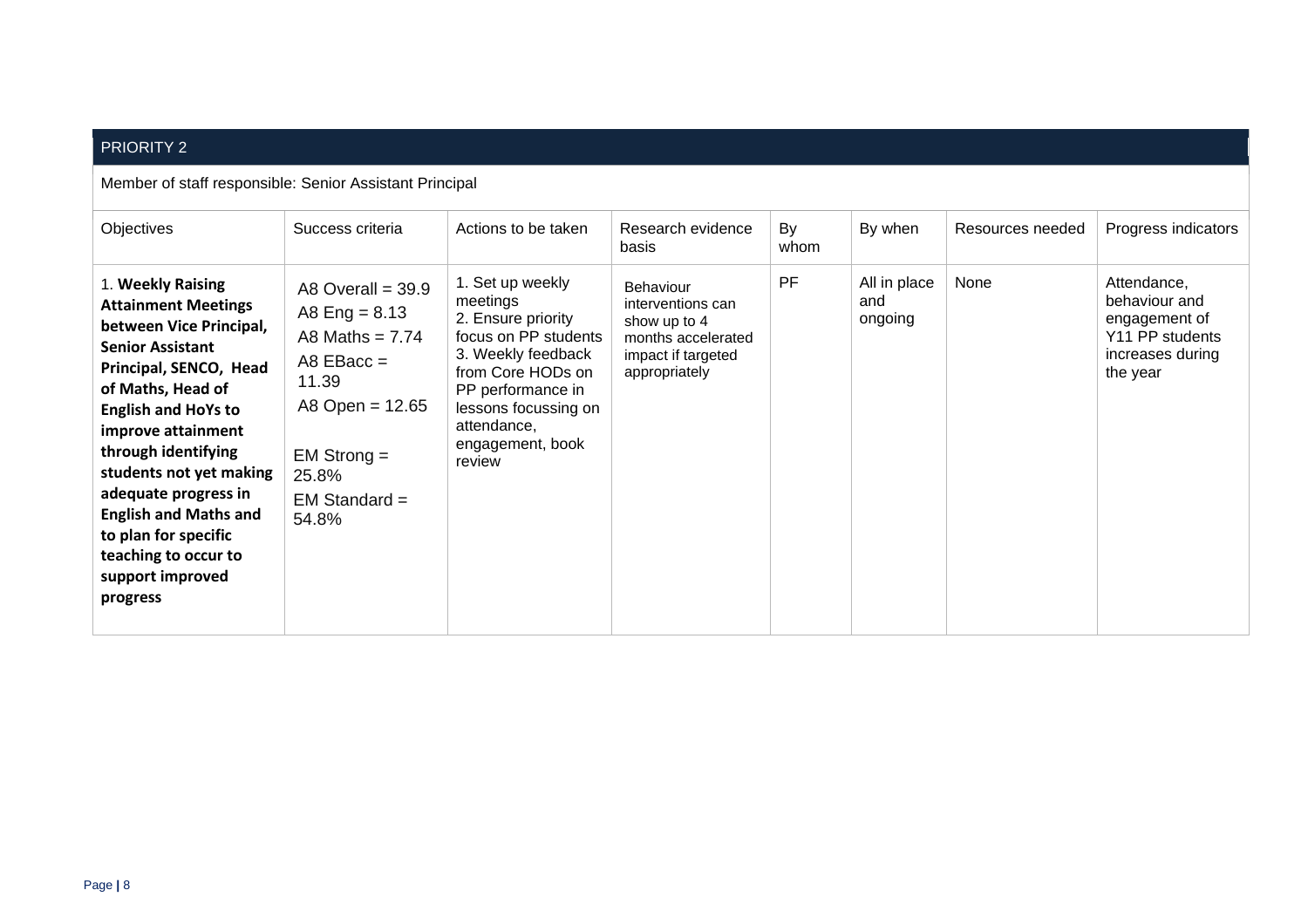## PRIORITY 2

Member of staff responsible: Senior Assistant Principal

| Objectives                                                                                                                                                                                                                                                                                                                                                                                         | Success criteria                                                                                                                                                  | Actions to be taken                                                                                                                                                                                             | Research evidence<br>basis                                                                                  | By<br>whom | By when                        | Resources needed | Progress indicators                                                                              |
|----------------------------------------------------------------------------------------------------------------------------------------------------------------------------------------------------------------------------------------------------------------------------------------------------------------------------------------------------------------------------------------------------|-------------------------------------------------------------------------------------------------------------------------------------------------------------------|-----------------------------------------------------------------------------------------------------------------------------------------------------------------------------------------------------------------|-------------------------------------------------------------------------------------------------------------|------------|--------------------------------|------------------|--------------------------------------------------------------------------------------------------|
| 1. Weekly Raising<br><b>Attainment Meetings</b><br>between Vice Principal,<br><b>Senior Assistant</b><br>Principal, SENCO, Head<br>of Maths, Head of<br><b>English and HoYs to</b><br>improve attainment<br>through identifying<br>students not yet making<br>adequate progress in<br><b>English and Maths and</b><br>to plan for specific<br>teaching to occur to<br>support improved<br>progress | A8 Overall $=$ 39.9<br>A8 Eng = $8.13$<br>A8 Maths = $7.74$<br>A8 $EBacc =$<br>11.39<br>A8 Open = $12.65$<br>$EM$ Strong $=$<br>25.8%<br>$EM Standard =$<br>54.8% | 1. Set up weekly<br>meetings<br>2. Ensure priority<br>focus on PP students<br>3. Weekly feedback<br>from Core HODs on<br>PP performance in<br>lessons focussing on<br>attendance,<br>engagement, book<br>review | Behaviour<br>interventions can<br>show up to 4<br>months accelerated<br>impact if targeted<br>appropriately | <b>PF</b>  | All in place<br>and<br>ongoing | None             | Attendance,<br>behaviour and<br>engagement of<br>Y11 PP students<br>increases during<br>the year |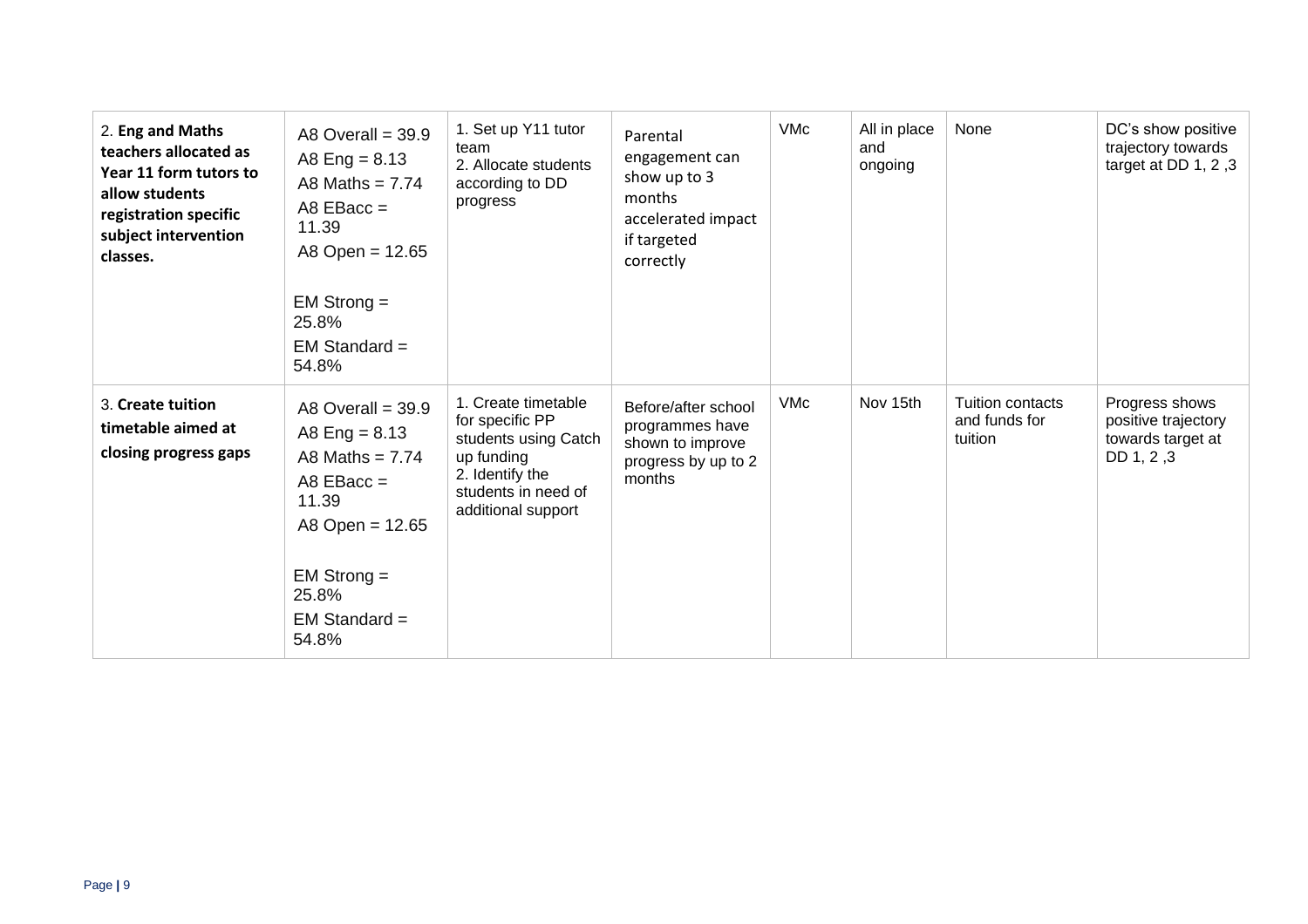| 2. Eng and Maths<br>teachers allocated as<br>Year 11 form tutors to<br>allow students<br>registration specific<br>subject intervention<br>classes. | A8 Overall = $39.9$<br>A8 Eng = $8.13$<br>A8 Maths = $7.74$<br>$ABEBacc =$<br>11.39<br>A8 Open = $12.65$<br>$EM$ Strong $=$<br>25.8%<br>$EM Standard =$<br>54.8% | 1. Set up Y11 tutor<br>team<br>2. Allocate students<br>according to DD<br>progress                                                           | Parental<br>engagement can<br>show up to 3<br>months<br>accelerated impact<br>if targeted<br>correctly | <b>VMc</b> | All in place<br>and<br>ongoing | None                                                | DC's show positive<br>trajectory towards<br>target at DD $1, 2, 3$       |
|----------------------------------------------------------------------------------------------------------------------------------------------------|------------------------------------------------------------------------------------------------------------------------------------------------------------------|----------------------------------------------------------------------------------------------------------------------------------------------|--------------------------------------------------------------------------------------------------------|------------|--------------------------------|-----------------------------------------------------|--------------------------------------------------------------------------|
| 3. Create tuition<br>timetable aimed at<br>closing progress gaps                                                                                   | A8 Overall = $39.9$<br>A8 Eng = $8.13$<br>A8 Maths = $7.74$<br>A8 $EBacc =$<br>11.39<br>A8 Open = 12.65<br>$EM$ Strong $=$<br>25.8%<br>$EM Standard =$<br>54.8%  | 1. Create timetable<br>for specific PP<br>students using Catch<br>up funding<br>2. Identify the<br>students in need of<br>additional support | Before/after school<br>programmes have<br>shown to improve<br>progress by up to 2<br>months            | <b>VMc</b> | Nov 15th                       | <b>Tuition contacts</b><br>and funds for<br>tuition | Progress shows<br>positive trajectory<br>towards target at<br>DD 1, 2, 3 |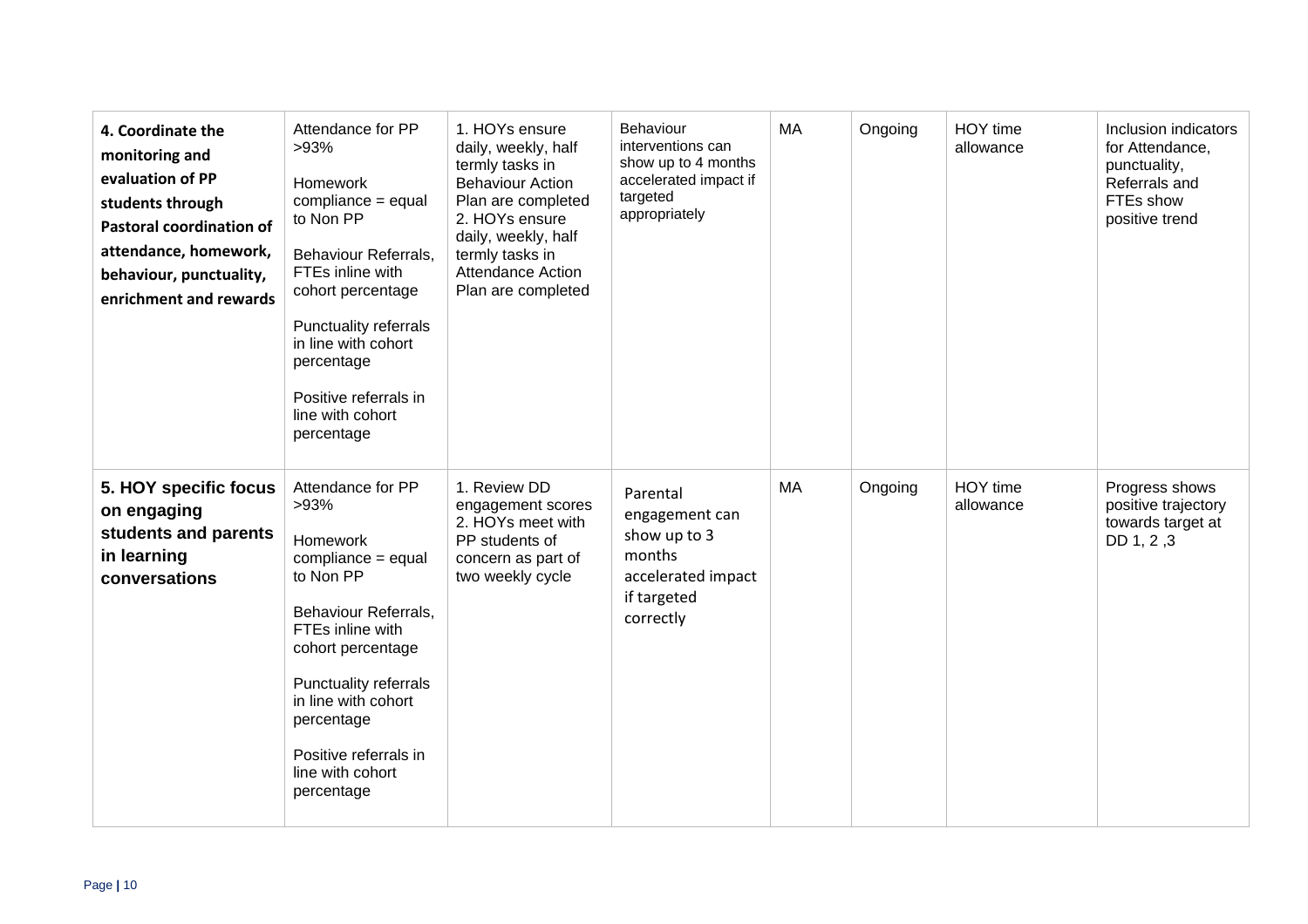| 4. Coordinate the<br>monitoring and<br>evaluation of PP<br>students through<br><b>Pastoral coordination of</b><br>attendance, homework,<br>behaviour, punctuality,<br>enrichment and rewards | Attendance for PP<br>>93%<br><b>Homework</b><br>compliance = equal<br>to Non PP<br>Behaviour Referrals,<br>FTEs inline with<br>cohort percentage<br><b>Punctuality referrals</b><br>in line with cohort<br>percentage<br>Positive referrals in<br>line with cohort<br>percentage | 1. HOYs ensure<br>daily, weekly, half<br>termly tasks in<br><b>Behaviour Action</b><br>Plan are completed<br>2. HOYs ensure<br>daily, weekly, half<br>termly tasks in<br><b>Attendance Action</b><br>Plan are completed | Behaviour<br>interventions can<br>show up to 4 months<br>accelerated impact if<br>targeted<br>appropriately | MA | Ongoing | HOY time<br>allowance | Inclusion indicators<br>for Attendance,<br>punctuality,<br>Referrals and<br>FTEs show<br>positive trend |
|----------------------------------------------------------------------------------------------------------------------------------------------------------------------------------------------|----------------------------------------------------------------------------------------------------------------------------------------------------------------------------------------------------------------------------------------------------------------------------------|-------------------------------------------------------------------------------------------------------------------------------------------------------------------------------------------------------------------------|-------------------------------------------------------------------------------------------------------------|----|---------|-----------------------|---------------------------------------------------------------------------------------------------------|
| 5. HOY specific focus<br>on engaging<br>students and parents<br>in learning<br>conversations                                                                                                 | Attendance for PP<br>>93%<br><b>Homework</b><br>compliance = equal<br>to Non PP<br>Behaviour Referrals,<br>FTEs inline with<br>cohort percentage<br><b>Punctuality referrals</b><br>in line with cohort<br>percentage<br>Positive referrals in<br>line with cohort<br>percentage | 1. Review DD<br>engagement scores<br>2. HOYs meet with<br>PP students of<br>concern as part of<br>two weekly cycle                                                                                                      | Parental<br>engagement can<br>show up to 3<br>months<br>accelerated impact<br>if targeted<br>correctly      | MA | Ongoing | HOY time<br>allowance | Progress shows<br>positive trajectory<br>towards target at<br>DD 1, 2, 3                                |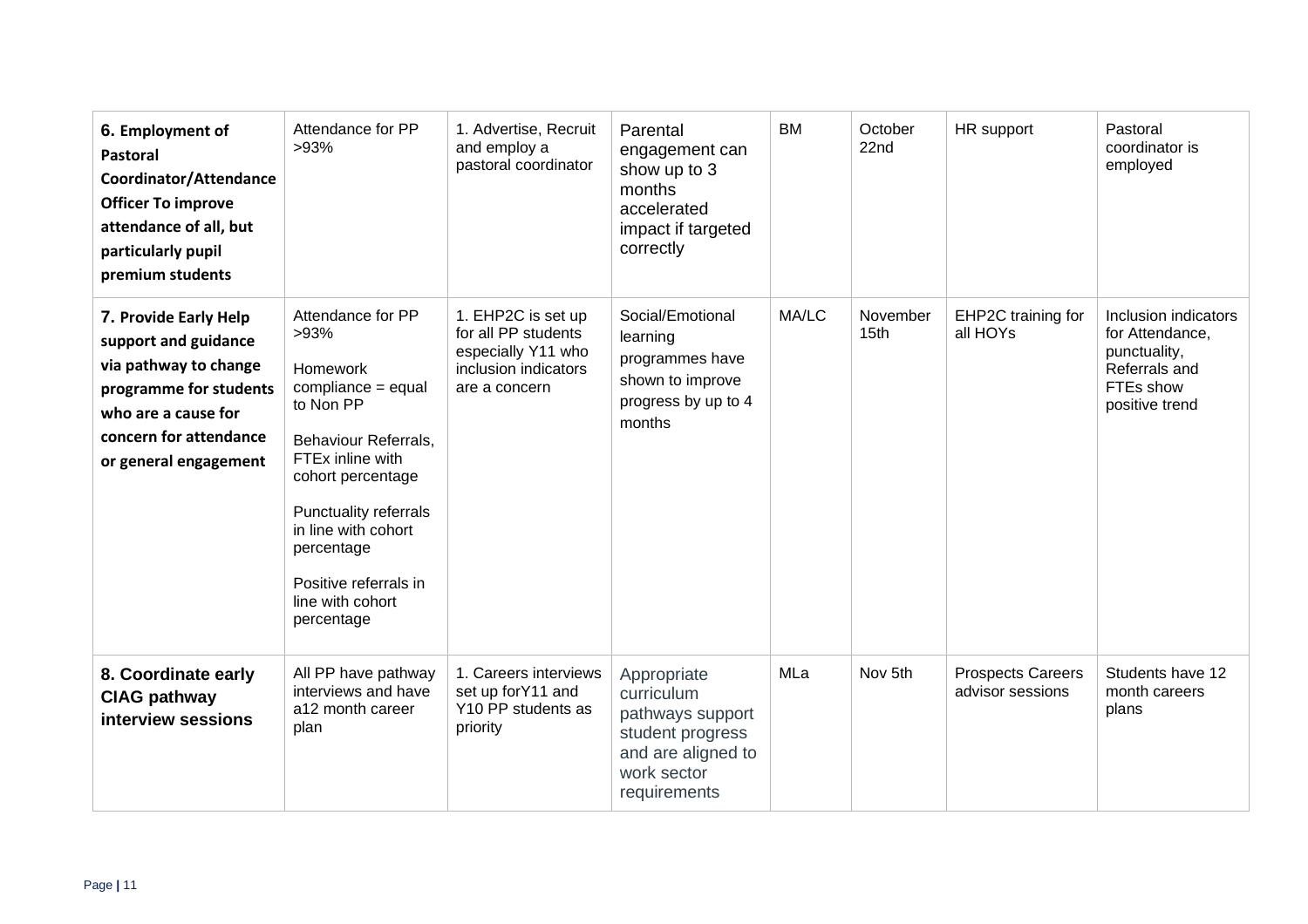| 6. Employment of<br><b>Pastoral</b><br>Coordinator/Attendance<br><b>Officer To improve</b><br>attendance of all, but<br>particularly pupil<br>premium students             | Attendance for PP<br>>93%                                                                                                                                                                                                                                                        | 1. Advertise, Recruit<br>and employ a<br>pastoral coordinator                                            | Parental<br>engagement can<br>show up to 3<br>months<br>accelerated<br>impact if targeted<br>correctly                 | <b>BM</b> | October<br>22nd              | HR support                                   | Pastoral<br>coordinator is<br>employed                                                                  |
|----------------------------------------------------------------------------------------------------------------------------------------------------------------------------|----------------------------------------------------------------------------------------------------------------------------------------------------------------------------------------------------------------------------------------------------------------------------------|----------------------------------------------------------------------------------------------------------|------------------------------------------------------------------------------------------------------------------------|-----------|------------------------------|----------------------------------------------|---------------------------------------------------------------------------------------------------------|
| 7. Provide Early Help<br>support and guidance<br>via pathway to change<br>programme for students<br>who are a cause for<br>concern for attendance<br>or general engagement | Attendance for PP<br>>93%<br><b>Homework</b><br>compliance = equal<br>to Non PP<br>Behaviour Referrals,<br>FTEx inline with<br>cohort percentage<br><b>Punctuality referrals</b><br>in line with cohort<br>percentage<br>Positive referrals in<br>line with cohort<br>percentage | 1. EHP2C is set up<br>for all PP students<br>especially Y11 who<br>inclusion indicators<br>are a concern | Social/Emotional<br>learning<br>programmes have<br>shown to improve<br>progress by up to 4<br>months                   | MA/LC     | November<br>15 <sub>th</sub> | EHP2C training for<br>all HOYs               | Inclusion indicators<br>for Attendance,<br>punctuality,<br>Referrals and<br>FTEs show<br>positive trend |
| 8. Coordinate early<br><b>CIAG pathway</b><br>interview sessions                                                                                                           | All PP have pathway<br>interviews and have<br>a12 month career<br>plan                                                                                                                                                                                                           | 1. Careers interviews<br>set up forY11 and<br>Y10 PP students as<br>priority                             | Appropriate<br>curriculum<br>pathways support<br>student progress<br>and are aligned to<br>work sector<br>requirements | MLa       | Nov 5th                      | <b>Prospects Careers</b><br>advisor sessions | Students have 12<br>month careers<br>plans                                                              |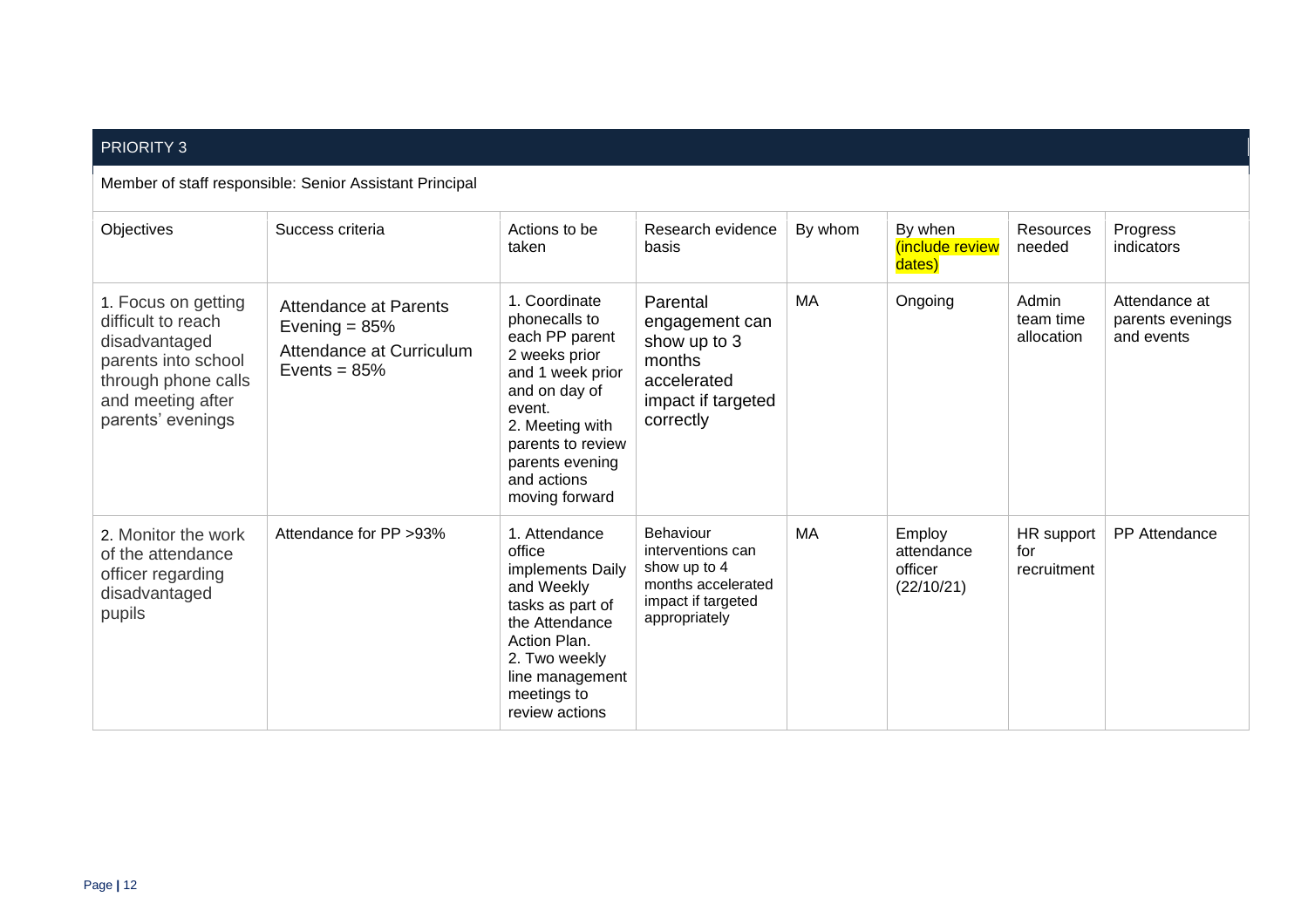## PRIORITY 3

#### Member of staff responsible: Senior Assistant Principal

| Objectives                                                                                                                                         | Success criteria                                                                              | Actions to be<br>taken                                                                                                                                                                                       | Research evidence<br>basis                                                                                  | By whom | By when<br>(include review<br>dates)          | Resources<br>needed              | Progress<br>indicators                          |
|----------------------------------------------------------------------------------------------------------------------------------------------------|-----------------------------------------------------------------------------------------------|--------------------------------------------------------------------------------------------------------------------------------------------------------------------------------------------------------------|-------------------------------------------------------------------------------------------------------------|---------|-----------------------------------------------|----------------------------------|-------------------------------------------------|
| 1. Focus on getting<br>difficult to reach<br>disadvantaged<br>parents into school<br>through phone calls<br>and meeting after<br>parents' evenings | <b>Attendance at Parents</b><br>Evening = $85%$<br>Attendance at Curriculum<br>Events = $85%$ | 1. Coordinate<br>phonecalls to<br>each PP parent<br>2 weeks prior<br>and 1 week prior<br>and on day of<br>event.<br>2. Meeting with<br>parents to review<br>parents evening<br>and actions<br>moving forward | Parental<br>engagement can<br>show up to 3<br>months<br>accelerated<br>impact if targeted<br>correctly      | МA      | Ongoing                                       | Admin<br>team time<br>allocation | Attendance at<br>parents evenings<br>and events |
| 2. Monitor the work<br>of the attendance<br>officer regarding<br>disadvantaged<br>pupils                                                           | Attendance for PP > 93%                                                                       | 1. Attendance<br>office<br>implements Daily<br>and Weekly<br>tasks as part of<br>the Attendance<br>Action Plan.<br>2. Two weekly<br>line management<br>meetings to<br>review actions                         | Behaviour<br>interventions can<br>show up to 4<br>months accelerated<br>impact if targeted<br>appropriately | MA      | Employ<br>attendance<br>officer<br>(22/10/21) | HR support<br>for<br>recruitment | <b>PP</b> Attendance                            |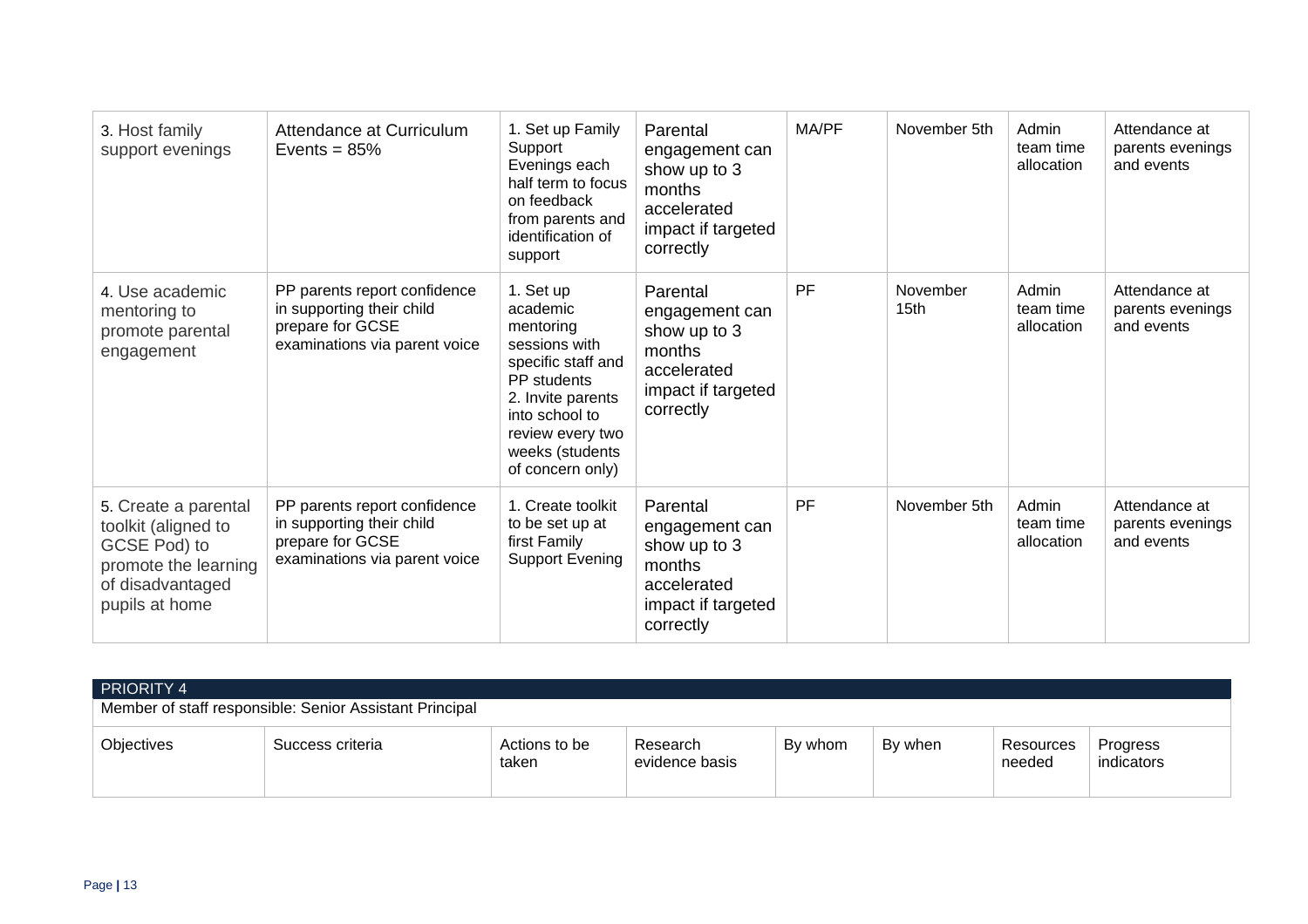| 3. Host family<br>support evenings                                                                                        | Attendance at Curriculum<br>Events = $85%$                                                                     | 1. Set up Family<br>Support<br>Evenings each<br>half term to focus<br>on feedback<br>from parents and<br>identification of<br>support                                                      | Parental<br>engagement can<br>show up to 3<br>months<br>accelerated<br>impact if targeted<br>correctly | MA/PF     | November 5th                 | Admin<br>team time<br>allocation | Attendance at<br>parents evenings<br>and events |
|---------------------------------------------------------------------------------------------------------------------------|----------------------------------------------------------------------------------------------------------------|--------------------------------------------------------------------------------------------------------------------------------------------------------------------------------------------|--------------------------------------------------------------------------------------------------------|-----------|------------------------------|----------------------------------|-------------------------------------------------|
| 4. Use academic<br>mentoring to<br>promote parental<br>engagement                                                         | PP parents report confidence<br>in supporting their child<br>prepare for GCSE<br>examinations via parent voice | 1. Set up<br>academic<br>mentoring<br>sessions with<br>specific staff and<br>PP students<br>2. Invite parents<br>into school to<br>review every two<br>weeks (students<br>of concern only) | Parental<br>engagement can<br>show up to 3<br>months<br>accelerated<br>impact if targeted<br>correctly | <b>PF</b> | November<br>15 <sub>th</sub> | Admin<br>team time<br>allocation | Attendance at<br>parents evenings<br>and events |
| 5. Create a parental<br>toolkit (aligned to<br>GCSE Pod) to<br>promote the learning<br>of disadvantaged<br>pupils at home | PP parents report confidence<br>in supporting their child<br>prepare for GCSE<br>examinations via parent voice | 1. Create toolkit<br>to be set up at<br>first Family<br><b>Support Evening</b>                                                                                                             | Parental<br>engagement can<br>show up to 3<br>months<br>accelerated<br>impact if targeted<br>correctly | <b>PF</b> | November 5th                 | Admin<br>team time<br>allocation | Attendance at<br>parents evenings<br>and events |

| <b>PRIORITY 4</b><br>Member of staff responsible: Senior Assistant Principal |                  |                        |                            |         |         |                     |                        |  |
|------------------------------------------------------------------------------|------------------|------------------------|----------------------------|---------|---------|---------------------|------------------------|--|
| Objectives                                                                   | Success criteria | Actions to be<br>taken | Research<br>evidence basis | By whom | By when | Resources<br>needed | Progress<br>indicators |  |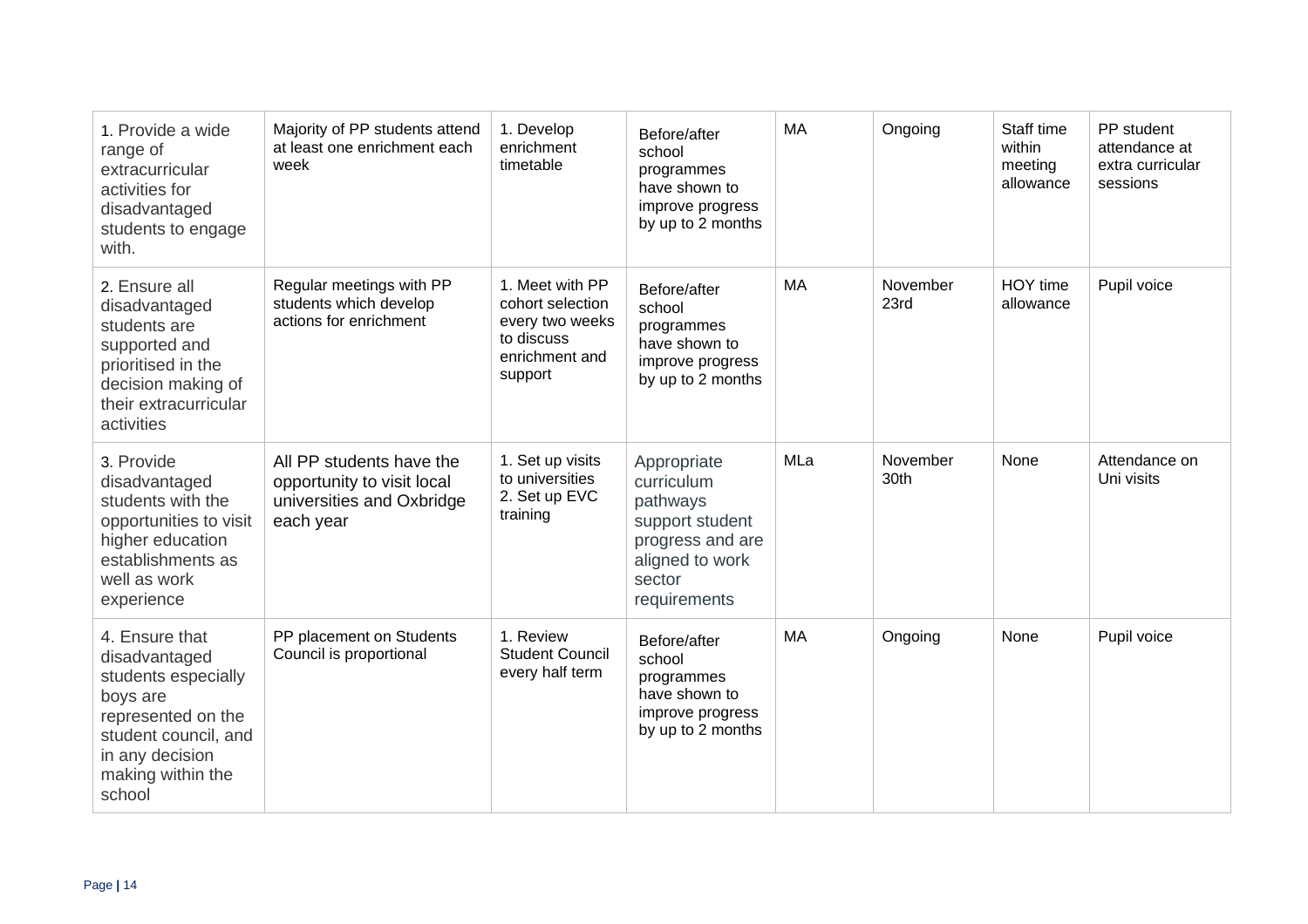| 1. Provide a wide<br>range of<br>extracurricular<br>activities for<br>disadvantaged<br>students to engage<br>with.                                                 | Majority of PP students attend<br>at least one enrichment each<br>week                           | 1. Develop<br>enrichment<br>timetable                                                             | Before/after<br>school<br>programmes<br>have shown to<br>improve progress<br>by up to 2 months                            | <b>MA</b> | Ongoing          | Staff time<br>within<br>meeting<br>allowance | PP student<br>attendance at<br>extra curricular<br>sessions |
|--------------------------------------------------------------------------------------------------------------------------------------------------------------------|--------------------------------------------------------------------------------------------------|---------------------------------------------------------------------------------------------------|---------------------------------------------------------------------------------------------------------------------------|-----------|------------------|----------------------------------------------|-------------------------------------------------------------|
| 2. Ensure all<br>disadvantaged<br>students are<br>supported and<br>prioritised in the<br>decision making of<br>their extracurricular<br>activities                 | Regular meetings with PP<br>students which develop<br>actions for enrichment                     | 1. Meet with PP<br>cohort selection<br>every two weeks<br>to discuss<br>enrichment and<br>support | Before/after<br>school<br>programmes<br>have shown to<br>improve progress<br>by up to 2 months                            | MA        | November<br>23rd | HOY time<br>allowance                        | Pupil voice                                                 |
| 3. Provide<br>disadvantaged<br>students with the<br>opportunities to visit<br>higher education<br>establishments as<br>well as work<br>experience                  | All PP students have the<br>opportunity to visit local<br>universities and Oxbridge<br>each year | 1. Set up visits<br>to universities<br>2. Set up EVC<br>training                                  | Appropriate<br>curriculum<br>pathways<br>support student<br>progress and are<br>aligned to work<br>sector<br>requirements | MLa       | November<br>30th | None                                         | Attendance on<br>Uni visits                                 |
| 4. Ensure that<br>disadvantaged<br>students especially<br>boys are<br>represented on the<br>student council, and<br>in any decision<br>making within the<br>school | PP placement on Students<br>Council is proportional                                              | 1. Review<br><b>Student Council</b><br>every half term                                            | Before/after<br>school<br>programmes<br>have shown to<br>improve progress<br>by up to 2 months                            | <b>MA</b> | Ongoing          | None                                         | Pupil voice                                                 |